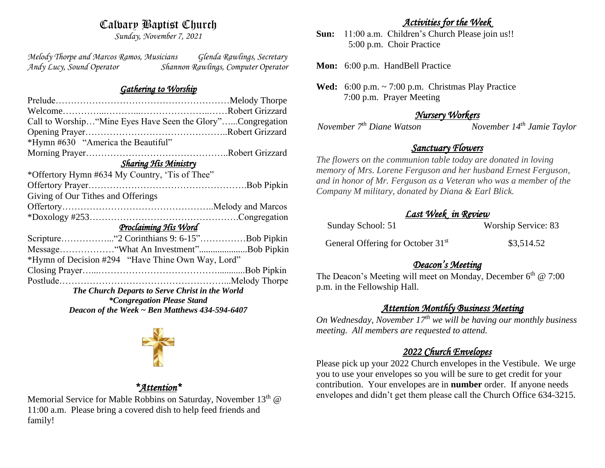# Calvary Baptist Church

*Sunday, November 7, 2021*

*Melody Thorpe and Marcos Ramos, Musicians Glenda Rawlings, Secretary Andy Lucy, Sound Operator Shannon Rawlings, Computer Operator* 

### *Gathering to Worship*

| Call to Worship "Mine Eyes Have Seen the Glory"Congregation |  |  |
|-------------------------------------------------------------|--|--|
|                                                             |  |  |
| *Hymn #630 "America the Beautiful"                          |  |  |
|                                                             |  |  |
| <b>Sharing His Ministry</b>                                 |  |  |
| *Offertory Hymn #634 My Country, 'Tis of Thee"              |  |  |
|                                                             |  |  |
| Giving of Our Tithes and Offerings                          |  |  |
|                                                             |  |  |
|                                                             |  |  |
| Proclaiming His Word                                        |  |  |
|                                                             |  |  |
| Message "What An Investment"Bob Pipkin                      |  |  |
| *Hymn of Decision #294 "Have Thine Own Way, Lord"           |  |  |
|                                                             |  |  |
|                                                             |  |  |
| The Church Departs to Serve Christ in the World             |  |  |
| <i>*Congregation Please Stand</i>                           |  |  |
| Deacon of the Week $\sim$ Ben Matthews 434-594-6407         |  |  |



## *\*Attention\**

Memorial Service for Mable Robbins on Saturday, November 13<sup>th</sup> @ 11:00 a.m. Please bring a covered dish to help feed friends and family!

## *Activities for the Week*

**Sun:** 11:00 a.m. Children's Church Please join us!! 5:00 p.m. Choir Practice

**Mon:** 6:00 p.m. HandBell Practice

**Wed:** 6:00 p.m. ~ 7:00 p.m. Christmas Play Practice 7:00 p.m. Prayer Meeting

## *Nursery Workers*

*November 7th Diane Watson November 14th Jamie Taylor* 

# *Sanctuary Flowers*

*The flowers on the communion table today are donated in loving memory of Mrs. Lorene Ferguson and her husband Ernest Ferguson, and in honor of Mr. Ferguson as a Veteran who was a member of the Company M military, donated by Diana & Earl Blick.* 

## *Last Week in Review*

| Sunday School: 51                             | Worship Service: 83 |
|-----------------------------------------------|---------------------|
| General Offering for October 31 <sup>st</sup> | \$3,514.52          |

# *Deacon's Meeting*

The Deacon's Meeting will meet on Monday, December 6<sup>th</sup> @ 7:00 p.m. in the Fellowship Hall.

# *Attention Monthly Business Meeting*

*On Wednesday, November 17th we will be having our monthly business meeting. All members are requested to attend.* 

# *2022 Church Envelopes*

Please pick up your 2022 Church envelopes in the Vestibule. We urge you to use your envelopes so you will be sure to get credit for your contribution. Your envelopes are in **number** order.If anyone needs envelopes and didn't get them please call the Church Office 634-3215.